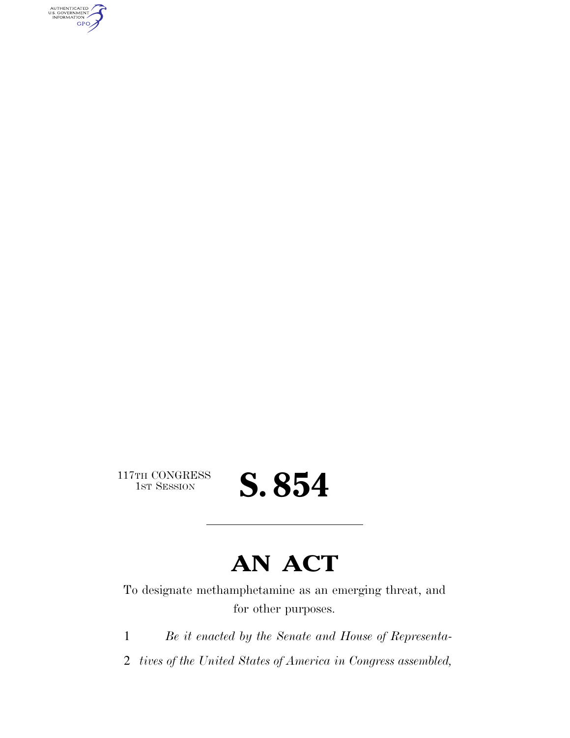AUTHENTICATED<br>U.S. GOVERNMENT<br>INFORMATION GPO

117TH CONGRESS<br>1st Session

S. 854

## **AN ACT**

To designate methamphetamine as an emerging threat, and for other purposes.

1 *Be it enacted by the Senate and House of Representa-*

2 *tives of the United States of America in Congress assembled,*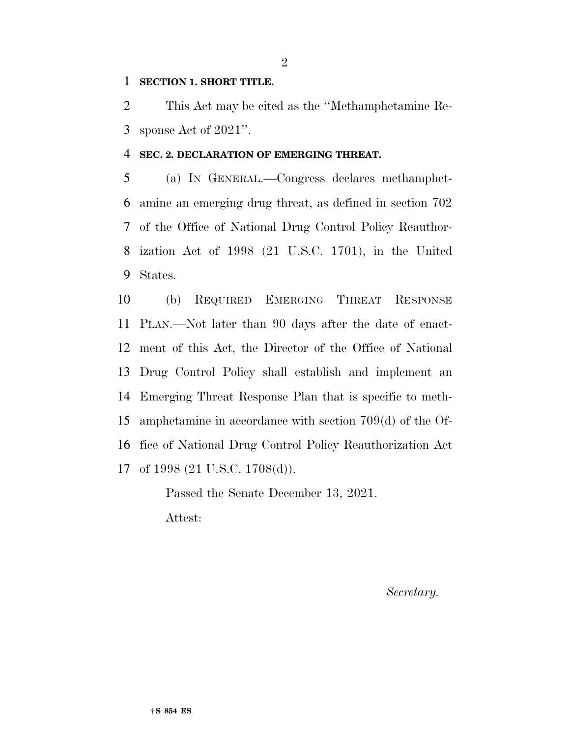## **SECTION 1. SHORT TITLE.**

 This Act may be cited as the ''Methamphetamine Re-sponse Act of 2021''.

## **SEC. 2. DECLARATION OF EMERGING THREAT.**

 (a) IN GENERAL.—Congress declares methamphet- amine an emerging drug threat, as defined in section 702 of the Office of National Drug Control Policy Reauthor- ization Act of 1998 (21 U.S.C. 1701), in the United States.

 (b) REQUIRED EMERGING THREAT RESPONSE PLAN.—Not later than 90 days after the date of enact- ment of this Act, the Director of the Office of National Drug Control Policy shall establish and implement an Emerging Threat Response Plan that is specific to meth- amphetamine in accordance with section 709(d) of the Of- fice of National Drug Control Policy Reauthorization Act of 1998 (21 U.S.C. 1708(d)).

> Passed the Senate December 13, 2021. Attest:

> > *Secretary.*